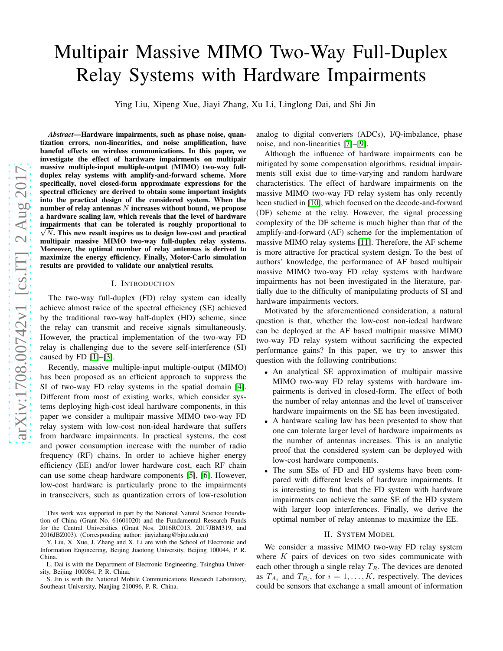# Multipair Massive MIMO Two-Way Full-Duplex Relay Systems with Hardware Impairments

Ying Liu, Xipeng Xue, Jiayi Zhang, Xu Li, Linglong Dai, and Shi Jin

*Abstract*—Hardware impairments, such as phase noise, quantization errors, non-linearities, and noise amplification, have baneful effects on wireless communications. In this paper, we investigate the effect of hardware impairments on multipair massive multiple-input multiple-output (MIMO) two-way fullduplex relay systems with amplify-and-forward scheme. More specifically, novel closed-form approximate expressions for the spectral efficiency are derived to obtain some important insights into the practical design of the considered system. When the number of relay antennas  $N$  increases without bound, we propose a hardware scaling law, which reveals that the level of hardware impairments that can be tolerated is roughly proportional to  $\sqrt{N}$ . This new result inspires us to design low-cost and practical  $\sqrt{N}$ . This new result inspires us to design low-cost and practical multipair massive MIMO two-way full-duplex relay systems. Moreover, the optimal number of relay antennas is derived to maximize the energy efficiency. Finally, Motor-Carlo simulation results are provided to validate our analytical results.

## I. INTRODUCTION

The two-way full-duplex (FD) relay system can ideally achieve almost twice of the spectral efficiency (SE) achieved by the traditional two-way half-duplex (HD) scheme, since the relay can transmit and receive signals simultaneously. However, the practical implementation of the two-way FD relay is challenging due to the severe self-interference (SI) caused by FD [\[1\]](#page-5-0)–[\[3\]](#page-5-1).

Recently, massive multiple-input multiple-output (MIMO) has been proposed as an efficient approach to suppress the SI of two-way FD relay systems in the spatial domain [\[4\]](#page-5-2). Different from most of existing works, which consider systems deploying high-cost ideal hardware components, in this paper we consider a multipair massive MIMO two-way FD relay system with low-cost non-ideal hardware that suffers from hardware impairments. In practical systems, the cost and power consumption increase with the number of radio frequency (RF) chains. In order to achieve higher energy efficiency (EE) and/or lower hardware cost, each RF chain can use some cheap hardware components [\[5\]](#page-5-3), [\[6\]](#page-5-4). However, low-cost hardware is particularly prone to the impairments in transceivers, such as quantization errors of low-resolution

This work was supported in part by the National Natural Science Foundation of China (Grant No. 61601020) and the Fundamental Research Funds for the Central Universities (Grant Nos. 2016RC013, 2017JBM319, and 2016JBZ003). (Corresponding author: jiayizhang@bjtu.edu.cn)

analog to digital converters (ADCs), I/Q-imbalance, phase noise, and non-linearities [\[7\]](#page-5-5)–[\[9\]](#page-5-6).

Although the influence of hardware impairments can be mitigated by some compensation algorithms, residual impairments still exist due to time-varying and random hardware characteristics. The effect of hardware impairments on the massive MIMO two-way FD relay system has only recently been studied in [\[10\]](#page-5-7), which focused on the decode-and-forward (DF) scheme at the relay. However, the signal processing complexity of the DF scheme is much higher than that of the amplify-and-forward (AF) scheme for the implementation of massive MIMO relay systems [\[11\]](#page-5-8). Therefore, the AF scheme is more attractive for practical system design. To the best of authors' knowledge, the performance of AF based multipair massive MIMO two-way FD relay systems with hardware impairments has not been investigated in the literature, partially due to the difficulty of manipulating products of SI and hardware impairments vectors.

Motivated by the aforementioned consideration, a natural question is that, whether the low-cost non-iedeal hardware can be deployed at the AF based multipair massive MIMO two-way FD relay system without sacrificing the expected performance gains? In this paper, we try to answer this question with the following contributions:

- An analytical SE approximation of multipair massive MIMO two-way FD relay systems with hardware impairments is derived in closed-form. The effect of both the number of relay antennas and the level of transceiver hardware impairments on the SE has been investigated.
- A hardware scaling law has been presented to show that one can tolerate larger level of hardware impairments as the number of antennas increases. This is an analytic proof that the considered system can be deployed with low-cost hardware components.
- The sum SEs of FD and HD systems have been compared with different levels of hardware impairments. It is interesting to find that the FD system with hardware impairments can achieve the same SE of the HD system with larger loop interferences. Finally, we derive the optimal number of relay antennas to maximize the EE.

#### II. SYSTEM MODEL

We consider a massive MIMO two-way FD relay system where  $K$  pairs of devices on two sides communicate with each other through a single relay  $T_R$ . The devices are denoted as  $T_{A_i}$  and  $T_{B_i}$ , for  $i = 1, ..., K$ , respectively. The devices could be sensors that exchange a small amount of information

Y. Liu, X. Xue, J. Zhang and X. Li are with the School of Electronic and Information Engineering, Beijing Jiaotong University, Beijing 100044, P. R. China.

L. Dai is with the Department of Electronic Engineering, Tsinghua University, Beijing 100084, P. R. China.

S. Jin is with the National Mobile Communications Research Laboratory, Southeast University, Nanjing 210096, P. R. China.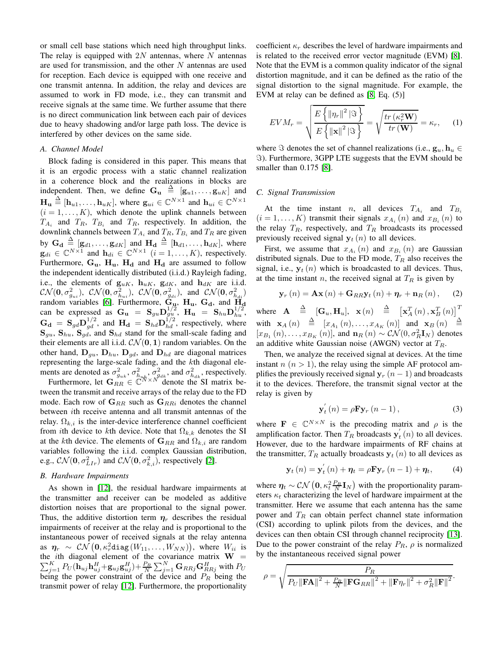or small cell base stations which need high throughput links. The relay is equipped with  $2N$  antennas, where N antennas are used for transmission, and the other  $N$  antennas are used for reception. Each device is equipped with one receive and one transmit antenna. In addition, the relay and devices are assumed to work in FD mode, i.e., they can transmit and receive signals at the same time. We further assume that there is no direct communication link between each pair of devices due to heavy shadowing and/or large path loss. The device is interfered by other devices on the same side.

## *A. Channel Model*

Block fading is considered in this paper. This means that it is an ergodic process with a static channel realization in a coherence block and the realizations in blocks are independent. Then, we define  $\mathbf{G}_{\mathbf{u}} \triangleq [\mathbf{g}_{u1}, \dots, \mathbf{g}_{uK}]$  and  $\mathbf{H}_{\mathbf{u}} \triangleq [\mathbf{h}_{u1}, \dots, \mathbf{h}_{uK}]$ , where  $\mathbf{g}_{ui} \in \mathbb{C}^{N \times 1}$  and  $\mathbf{h}_{ui} \in \mathbb{C}^{N \times 1}$  $(i = 1, \ldots, K)$ , which denote the uplink channels between  $T_{A_i}$  and  $T_R$ ,  $T_{B_i}$  and  $T_R$ , respectively. In addition, the downlink channels between  $T_{A_i}$  and  $T_R$ ,  $T_{B_i}$  and  $T_R$  are given by  $\mathbf{G}_{\mathbf{d}} \triangleq [\mathbf{g}_{d1}, \dots, \mathbf{g}_{dK}]$  and  $\mathbf{H}_{\mathbf{d}} \triangleq [\mathbf{h}_{d1}, \dots, \mathbf{h}_{dK}]$ , where  $\mathbf{g}_{di} \in \mathbb{C}^{N \times 1}$  and  $\mathbf{h}_{di} \in \mathbb{C}^{N \times 1}$   $(i = 1, ..., K)$ , respectively. Furthermore,  $G_u$ ,  $H_u$ ,  $H_d$  and  $H_d$  are assumed to follow the independent identically distributed (i.i.d.) Rayleigh fading, i.e., the elements of  $\mathbf{g}_{uK}$ ,  $\mathbf{h}_{uK}$ ,  $\mathbf{g}_{dK}$ , and  $\mathbf{h}_{dK}$  are i.i.d.  $\mathcal{CN}(\mathbf{0}, \sigma_{g_{ui}}^2), \ \mathcal{CN}(\mathbf{0}, \sigma_{h_{ui}}^2), \ \mathcal{CN}(\mathbf{0}, \sigma_{g_{di}}^2), \text{ and } \ \mathcal{CN}(\mathbf{0}, \sigma_{h_{di}}^2)$ random variables [\[6\]](#page-5-4). Furthermore,  $G_{\mu}$ ,  $H_{\mu}$ ,  $G_{\mu}$ , and  $H_{\mu}$ can be expressed as  $G_{\mathbf{u}} = \mathbf{S}_{gu} \mathbf{D}_{gu}^{1/2}, \ \mathbf{H}_{\mathbf{u}} = \mathbf{S}_{hu} \mathbf{D}_{hu}^{1/2},$  $G_d = S_{gd} D_{gd}^{1/2}$ , and  $H_d = S_{hd} D_{hd}^{1/2}$ , respectively, where  $S_{gu}$ ,  $S_{hu}$ ,  $S_{gd}$ , and  $S_{hd}$  stand for the small-scale fading and their elements are all i.i.d.  $CN(0, 1)$  random variables. On the other hand,  $D_{gu}$ ,  $D_{hu}$ ,  $D_{gd}$ , and  $D_{hd}$  are diagonal matrices representing the large-scale fading, and the kth diagonal elements are denoted as  $\sigma_{g_{uk}}^2$ ,  $\sigma_{h_{uk}}^2$ ,  $\sigma_{g_{dk}}^2$ , and  $\sigma_{h_{dk}}^2$ , respectively.

Furthermore, let  $G_{RR}^{\text{max}} \in \mathbb{C}^{N \times N}$  denote the SI matrix between the transmit and receive arrays of the relay due to the FD mode. Each row of  $\mathbf{G}_{RR}$  such as  $\mathbf{G}_{RRi}$  denotes the channel between ith receive antenna and all transmit antennas of the relay.  $\Omega_{k,i}$  is the inter-device interference channel coefficient from *i*th device to *k*th device. Note that  $\Omega_{k,k}$  denotes the SI at the kth device. The elements of  $\mathbf{G}_{RR}$  and  $\Omega_{k,i}$  are random variables following the i.i.d. complex Gaussian distribution, e.g.,  $CN(\mathbf{0}, \sigma_{LIr}^2)$  and  $CN(\mathbf{0}, \sigma_{k,i}^2)$ , respectively [\[2\]](#page-5-9).

## *B. Hardware Impairments*

As shown in [\[12\]](#page-5-10), the residual hardware impairments at the transmitter and receiver can be modeled as additive distortion noises that are proportional to the signal power. Thus, the additive distortion term  $\eta_r$  describes the residual impairments of receiver at the relay and is proportional to the instantaneous power of received signals at the relay antenna as  $\bm{\eta}_r \ \sim \ \mathcal{CN}\left(\bm{0}, \kappa_r^2 \texttt{diag}\left(W_{11}, \dots, W_{NN}\right)\right)$ , where  $W_{ii}$  is the *i*th diagonal element of the covariance matrix  $W =$  $\sum_{j=1}^K P_U(\bar {\bf h}_{uj}{\bf h}_{uj}^H + {\bf g}_{uj}{\bf g}_{uj}^H) \!+\! \frac{P_R}{N} \sum_{j=1}^N {\bf G}_{RRj}{\bf G}_{RRj}^H$  with  $P_U$ being the power constraint of the device and  $P_R$  being the transmit power of relay [\[12\]](#page-5-10). Furthermore, the proportionality coefficient  $\kappa_r$  describes the level of hardware impairments and is related to the received error vector magnitude (EVM) [\[8\]](#page-5-11). Note that the EVM is a common quality indicator of the signal distortion magnitude, and it can be defined as the ratio of the signal distortion to the signal magnitude. For example, the EVM at relay can be defined as [\[8,](#page-5-11) Eq. (5)]

$$
EVM_r = \sqrt{\frac{E\left\{\left\|\eta_r\right\|^2\left\|\mathfrak{F}\right\}\right\}}{E\left\{\left\|\mathbf{x}\right\|^2\left\|\mathfrak{F}\right\}\right\}} = \sqrt{\frac{tr\left(\kappa_r^2 \mathbf{W}\right)}{tr\left(\mathbf{W}\right)}} = \kappa_r,\qquad(1)
$$

where  $\Im$  denotes the set of channel realizations (i.e.,  $\mathbf{g}_u, \mathbf{h}_u \in$ ℑ). Furthermore, 3GPP LTE suggests that the EVM should be smaller than 0.175 [\[8\]](#page-5-11).

#### *C. Signal Transmission*

At the time instant *n*, all devices  $T_{A_i}$  and  $T_{B_i}$  $(i = 1, \ldots, K)$  transmit their signals  $x_{A_i}(n)$  and  $x_{B_i}(n)$  to the relay  $T_R$ , respectively, and  $T_R$  broadcasts its processed previously received signal  $y_t(n)$  to all devices.

First, we assume that  $x_{A_i}(n)$  and  $x_{B_i}(n)$  are Gaussian distributed signals. Due to the FD mode,  $T_R$  also receives the signal, i.e.,  $y_t(n)$  which is broadcasted to all devices. Thus, at the time instant *n*, the received signal at  $T_R$  is given by

<span id="page-1-1"></span>
$$
\mathbf{y}_{r}\left(n\right) = \mathbf{A}\mathbf{x}\left(n\right) + \mathbf{G}_{RR}\mathbf{y}_{t}\left(n\right) + \boldsymbol{\eta}_{r} + \mathbf{n}_{R}\left(n\right),\qquad(2)
$$

where  $\mathbf{A} \triangleq [\mathbf{G}_u, \mathbf{H}_u], \mathbf{x}(n) \triangleq [\mathbf{x}_A^T(n), \mathbf{x}_B^T(n)]^T$ with  $\mathbf{x}_A(n) \stackrel{\Delta}{=} [x_{A_1}(n), \ldots, x_{A_K}(n)]$  and  $\mathbf{x}_B(n) \stackrel{\Delta}{=}$  $[x_{B_1}(n),...,x_{B_K}(n)]$ , and  $\mathbf{n}_R(n) \sim \mathcal{CN}(0,\sigma_R^2 \mathbf{I}_N)$  denotes an additive white Gaussian noise (AWGN) vector at  $T_R$ .

Then, we analyze the received signal at devices. At the time instant  $n (n > 1)$ , the relay using the simple AF protocol amplifies the previously received signal  $y_r$   $(n - 1)$  and broadcasts it to the devices. Therefore, the transmit signal vector at the relay is given by

<span id="page-1-0"></span>
$$
\mathbf{y}_{t}^{'}\left(n\right) = \rho \mathbf{F} \mathbf{y}_{r}\left(n-1\right),\tag{3}
$$

where  $\mathbf{F} \in \mathbb{C}^{N \times N}$  is the precoding matrix and  $\rho$  is the amplification factor. Then  $T_R$  broadcasts  $y'_t$  $t<sub>t</sub>$  (*n*) to all devices. However, due to the hardware impairments of RF chains at the transmitter,  $T_R$  actually broadcasts  $y_t(n)$  to all devices as

$$
\mathbf{y}_{t}(n) = \mathbf{y}_{t}'(n) + \boldsymbol{\eta}_{t} = \rho \mathbf{F} \mathbf{y}_{r}(n-1) + \boldsymbol{\eta}_{t}, \qquad (4)
$$

where  $\eta_t \sim \mathcal{CN}\left(0, \kappa_t^2 \frac{P_R}{N} \mathbf{I}_N\right)$  with the proportionality parameters  $\kappa_t$  characterizing the level of hardware impairment at the transmitter. Here we assume that each antenna has the same power and  $T_R$  can obtain perfect channel state information (CSI) according to uplink pilots from the devices, and the devices can then obtain CSI through channel reciprocity [\[13\]](#page-5-12). Due to the power constraint of the relay  $P_R$ ,  $\rho$  is normalized by the instantaneous received signal power

$$
\rho = \sqrt{\frac{P_R}{P_U \|\mathbf{FA}\|^2 + \frac{P_R}{N} \|\mathbf{FG}_{RR}\|^2 + \|\mathbf{F}\eta_r\|^2 + \sigma_R^2 \|\mathbf{F}\|^2}}.
$$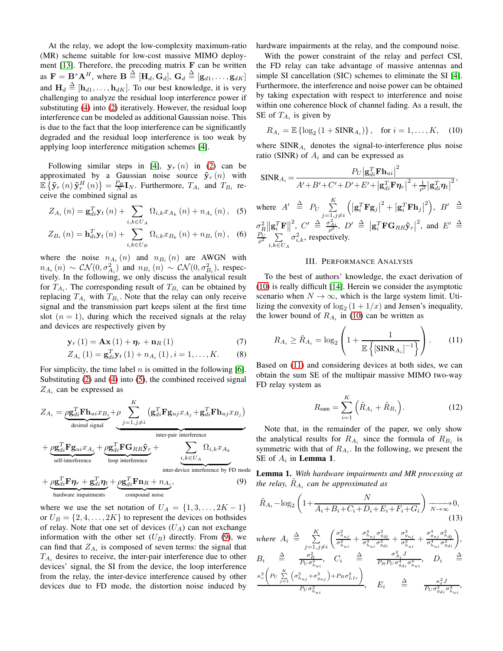At the relay, we adopt the low-complexity maximum-ratio (MR) scheme suitable for low-cost massive MIMO deployment  $[13]$ . Therefore, the precoding matrix  $\bf{F}$  can be written as  $\mathbf{F} = \mathbf{B}^* \mathbf{A}^H$ , where  $\mathbf{B} \stackrel{\Delta}{=} [\mathbf{H}_d, \mathbf{G}_d]$ ,  $\mathbf{G}_d \stackrel{\Delta}{=} [\mathbf{g}_{d1}, \dots, \mathbf{g}_{dK}]$ and  $\mathbf{H}_d \triangleq [\mathbf{h}_{d1}, \dots, \mathbf{h}_{dK}]$ . To our best knowledge, it is very challenging to analyze the residual loop interference power if substituting [\(4\)](#page-1-0) into [\(2\)](#page-1-1) iteratively. However, the residual loop interference can be modeled as additional Gaussian noise. This is due to the fact that the loop interference can be significantly degraded and the residual loop interference is too weak by applying loop interference mitigation schemes [\[4\]](#page-5-2).

Following similar steps in [\[4\]](#page-5-2),  $y_r(n)$  in [\(2\)](#page-1-1) can be approximated by a Gaussian noise source  $\tilde{\mathbf{y}}_r(n)$  with  $\mathbb{E} \left\{ \tilde{\mathbf{y}}_r(n) \tilde{\mathbf{y}}_r^H(n) \right\} = \frac{P_B}{N} \mathbf{I}_N$ . Furthermore,  $T_{A_i}$  and  $T_{B_i}$  receive the combined signal as

$$
Z_{A_i}(n) = \mathbf{g}_{di}^T \mathbf{y}_t(n) + \sum_{i,k \in U_A} \Omega_{i,k} x_{A_k}(n) + n_{A_i}(n), \quad (5)
$$

$$
Z_{B_i}(n) = \mathbf{h}_{di}^T \mathbf{y}_t(n) + \sum_{i,k \in U_B} \Omega_{i,k} x_{B_k}(n) + n_{B_i}(n), \quad (6)
$$

where the noise  $n_{A_i}(n)$  and  $n_{B_i}(n)$  are AWGN with  $n_{A_i}(n) \sim \mathcal{CN}(0, \sigma_{A_i}^2)$  and  $n_{B_i}(n) \sim \mathcal{CN}(0, \sigma_{B_i}^2)$ , respectively. In the following, we only discuss the analytical result for  $T_{A_i}$ . The corresponding result of  $T_{B_i}$  can be obtained by replacing  $T_{A_i}$  with  $T_{B_i}$ . Note that the relay can only receive signal and the transmission part keeps silent at the first time slot  $(n = 1)$ , during which the received signals at the relay and devices are respectively given by

$$
\mathbf{y}_{r}(1) = \mathbf{A}\mathbf{x}(1) + \boldsymbol{\eta}_{r} + \mathbf{n}_{R}(1) \tag{7}
$$

$$
Z_{A_i}(1) = \mathbf{g}_{di}^T \mathbf{y}_t(1) + n_{A_i}(1), i = 1, ..., K.
$$
 (8)

For simplicity, the time label  $n$  is omitted in the following [\[6\]](#page-5-4). Substituting [\(2\)](#page-1-1) and [\(4\)](#page-1-0) into [\(5\)](#page-2-0), the combined received signal  $Z_{A_i}$  can be expressed as

$$
Z_{A_i} = \underbrace{\rho \mathbf{g}_{di}^T \mathbf{F} \mathbf{h}_{ui} x_{B_i}}_{\text{desired signal}} + \underbrace{\rho \sum_{j=1, j \neq i}^K (\mathbf{g}_{di}^T \mathbf{F} \mathbf{g}_{uj} x_{A_j} + \mathbf{g}_{di}^T \mathbf{F} \mathbf{h}_{uj} x_{B_j})}_{\text{inter-par interference}}
$$
\n
$$
+ \underbrace{\rho \mathbf{g}_{di}^T \mathbf{F} \mathbf{g}_{ui} x_{A_i}}_{\text{self-interference}} + \underbrace{\rho \mathbf{g}_{di}^T \mathbf{F} \mathbf{G}_{RR} \mathbf{\tilde{y}}_r}_{\text{loop interference}} + \underbrace{\sum_{i,k \in U_A} \Omega_{i,k} x_{A_k}}_{\text{inter-device interference by FD mode}}
$$

+ 
$$
\underbrace{\rho \mathbf{g}_{di}^T \mathbf{F} \eta_r + \mathbf{g}_{di}^T \eta_t}_{\text{hardware impairments}} + \underbrace{\rho \mathbf{g}_{di}^T \mathbf{F} \mathbf{n}_R + n_{A_i}}_{\text{compound noise}},
$$
 (9)

where we use the set notation of  $U_A = \{1, 3, \ldots, 2K - 1\}$ or  $U_B = \{2, 4, \ldots, 2K\}$  to represent the devices on bothsides of relay. Note that one set of devices  $(U_A)$  can not exchange information with the other set  $(U_B)$  directly. From [\(9\)](#page-2-1), we can find that  $Z_{A_i}$  is composed of seven terms: the signal that  $T_{A_i}$  desires to receive, the inter-pair interference due to other devices' signal, the SI from the device, the loop interference from the relay, the inter-device interference caused by other devices due to FD mode, the distortion noise induced by hardware impairments at the relay, and the compound noise.

With the power constraint of the relay and perfect CSI, the FD relay can take advantage of massive antennas and simple SI cancellation (SIC) schemes to eliminate the SI [\[4\]](#page-5-2). Furthermore, the interference and noise power can be obtained by taking expectation with respect to interference and noise within one coherence block of channel fading. As a result, the SE of  $T_{A_i}$  is given by

<span id="page-2-2"></span>
$$
R_{A_i} = \mathbb{E}\left\{ \log_2 \left( 1 + \text{SINR}_{A_i} \right) \right\}, \quad \text{for } i = 1, \dots, K, \quad (10)
$$

where  $SINR_{A_i}$  denotes the signal-to-interference plus noise ratio (SINR) of  $A_i$  and can be expressed as

$$
\text{SINR}_{A_i} = \frac{P_U |\mathbf{g}_{di}^T \mathbf{F} \mathbf{h}_{ui}|^2}{A' + B' + C' + D' + E' + |\mathbf{g}_{di}^T \mathbf{F} \boldsymbol{\eta}_r|^2 + \frac{1}{\rho^2} |\mathbf{g}_{di}^T \boldsymbol{\eta}_t|^2},
$$

<span id="page-2-0"></span>where  $A' \triangleq P_U \sum_{i=1}^K$  $j=1,j\neq i$  $\left(\left|\mathbf{g}_{i}^{T}\mathbf{F}\mathbf{g}_{j}\right|^{2}+\left|\mathbf{g}_{i}^{T}\mathbf{F}\mathbf{h}_{j}\right|^{2}\right), \ B' \ \triangleq$  $\sigma_R^2 \|\mathbf{g}_i^T\mathbf{F}\|^2$ ,  $C' \triangleq \frac{\sigma_{Ai}^2}{\rho^2}$ ,  $D' \triangleq |\mathbf{g}_i^T\mathbf{F}\mathbf{G}_{RR}\tilde{\mathbf{y}}_r|^2$ , and  $E' \triangleq$  $\frac{P_U}{\rho^2} \sum$  $i, k \in U_A$  $\sigma_{i,k}^2$ , respectively.

## III. PERFORMANCE ANALYSIS

To the best of authors' knowledge, the exact derivation of [\(10\)](#page-2-2) is really difficult [\[14\]](#page-5-13). Herein we consider the asymptotic scenario when  $N \to \infty$ , which is the large system limit. Utilizing the convexity of  $\log_2(1 + 1/x)$  and Jensen's inequality, the lower bound of  $R_{A_i}$  in [\(10\)](#page-2-2) can be written as

$$
R_{A_i} \ge \tilde{R}_{A_i} = \log_2\left(1 + \frac{1}{\mathbb{E}\left\{|\text{SINR}_{A_i}|^{-1}\right\}}\right). \tag{11}
$$

Based on [\(11\)](#page-2-3) and considering devices at both sides, we can obtain the sum SE of the multipair massive MIMO two-way FD relay system as

<span id="page-2-4"></span><span id="page-2-3"></span>
$$
R_{\text{sum}} = \sum_{i=1}^{K} \left( \tilde{R}_{A_i} + \tilde{R}_{B_i} \right). \tag{12}
$$

Note that, in the remainder of the paper, we only show the analytical results for  $R_{A_i}$  since the formula of  $R_{B_i}$  is symmetric with that of  $R_{A_i}$ . In the following, we present the SE of  $A_i$  in **Lemma 1**.

<span id="page-2-5"></span><span id="page-2-1"></span>Lemma 1. *With hardware impairments and MR processing at* the relay,  $\tilde{R}_{A_i}$  can be approximated as

$$
\tilde{R}_{A_i} - \log_2\left(1 + \frac{N}{A_i + B_i + C_i + D_i + E_i + F_i + G_i}\right) \xrightarrow[N \to \infty]{} 0,
$$
\n(13)

where 
$$
A_i \triangleq \sum_{j=1, j\neq i}^{K} \left( \frac{\sigma_{h_{uj}}^2}{\sigma_{h_{ui}}^2} + \frac{\sigma_{h_{uj}}^4 \sigma_{g_{dj}}^2}{\sigma_{h_{ui}}^4} + \frac{\sigma_{g_{uj}}^2 \sigma_{h_{dj}}^2}{\sigma_{h_{ui}}^2} + \frac{\sigma_{g_{uj}}^4 \sigma_{h_{aj}}^2}{\sigma_{h_{ui}}^2 \sigma_{g_{di}}^2} \right)
$$
,  
\n $B_i \triangleq \frac{\sigma_R^2}{P_U \sigma_{h_{ui}}^2}$ ,  $C_i \triangleq \frac{\sigma_{A_i}^2 J}{P_R P_U \sigma_{g_{di}}^4 \sigma_{h_{ui}}^4}$ ,  $D_i \triangleq \frac{\kappa_r^2 \left( P_U \sum\limits_{j=1}^K \left( \sigma_{h_{uj}}^2 + \sigma_{g_{uj}}^2 \right) + P_R \sigma_{LIr}^2 \right)}{P_U \sigma_{h_{ui}}^2}$ ,  $E_i \triangleq \frac{\kappa_i^2 J}{P_U \sigma_{g_{di}}^2 \sigma_{h_{ui}}^4}$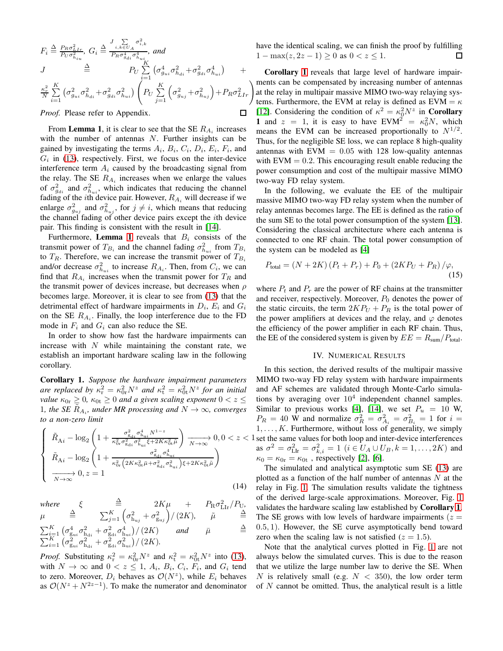$$
F_i \stackrel{\Delta}{=} \frac{P_R \sigma_{LIr}^2}{P_U \sigma_{h_{iu}}^2}, G_i \stackrel{\Delta}{=} \frac{J \sum\limits_{i,k \in U_A} \sigma_{i,k}^2}{P_R \sigma_{g_{di}}^4 \sigma_{h_{ui}}^4}, and
$$
  
\n
$$
J \stackrel{\Delta}{=} P_U \sum\limits_{i=1}^K (\sigma_{g_{ui}}^4 \sigma_{h_{di}}^2 + \sigma_{g_{di}}^2 \sigma_{h_{ui}}^4) +
$$
  
\n
$$
\frac{\kappa_r^2}{N} \sum\limits_{i=1}^K (\sigma_{g_{ui}}^2 \sigma_{h_{di}}^2 + \sigma_{g_{di}}^2 \sigma_{h_{ui}}^2) \left(P_U \sum\limits_{j=1}^K (\sigma_{g_{uj}}^2 + \sigma_{h_{uj}}^2) + P_R \sigma_{LIr}^2\right)
$$
  
\nProof. Please refer to Appendix.

*Proof.* Please refer to Appendix.

From Lemma 1, it is clear to see that the SE  $R_{A_i}$  increases with the number of antennas  $N$ . Further insights can be gained by investigating the terms  $A_i$ ,  $B_i$ ,  $C_i$ ,  $D_i$ ,  $E_i$ ,  $F_i$ , and  $G_i$  in [\(13\)](#page-2-4), respectively. First, we focus on the inter-device interference term  $A_i$  caused by the broadcasting signal from the relay. The SE  $R_{A_i}$  increases when we enlarge the values of  $\sigma_{g_{di}}^2$  and  $\sigma_{h_{ui}}^2$ , which indicates that reducing the channel fading of the *i*th device pair. However,  $R_{A_i}$  will decrease if we enlarge  $\sigma_{g_{uj}}^2$  and  $\sigma_{h_{uj}}^2$ , for  $j \neq i$ , which means that reducing the channel fading of other device pairs except the ith device pair. This finding is consistent with the result in [\[14\]](#page-5-13).

Furthermore, **Lemma [1](#page-2-5)** reveals that  $B_i$  consists of the transmit power of  $T_{B_i}$  and the channel fading  $\sigma_{h_{ui}}^2$  from  $T_{B_i}$ to  $T_R$ . Therefore, we can increase the transmit power of  $T_{B_i}$ and/or decrease  $\sigma_{h_{ui}}^2$  to increase  $R_{Ai}$ . Then, from  $C_i$ , we can find that  $R_{A_i}$  increases when the transmit power for  $T_R$  and the transmit power of devices increase, but decreases when  $\rho$ becomes large. Moreover, it is clear to see from [\(13\)](#page-2-4) that the detrimental effect of hardware impairments in  $D_i$ ,  $E_i$  and  $G_i$ on the SE  $R_{A_i}$ . Finally, the loop interference due to the FD mode in  $F_i$  and  $G_i$  can also reduce the SE.

In order to show how fast the hardware impairments can increase with  $N$  while maintaining the constant rate, we establish an important hardware scaling law in the following corollary.

<span id="page-3-0"></span>Corollary 1. *Suppose the hardware impairment parameters are replaced by*  $\kappa_r^2 = \kappa_{0r}^2 N^z$  *and*  $\kappa_t^2 = \kappa_{0t}^2 N^z$  *for an initial value*  $\kappa_{0r} \geq 0$ ,  $\kappa_{0t} \geq 0$  *and a given scaling exponent*  $0 < z \leq 1$ 1, the SE  $\tilde{R}_{A_i}$ , under MR processing and  $N \to \infty$ , converges *to a non-zero limit*

$$
\begin{cases} \n\tilde{R}_{\mathrm{A}i} - \log_{2} \left( 1 + \frac{\sigma_{\mathrm{S}_{\mathrm{d}i}}^{2} \sigma_{\mathrm{h}_{\mathrm{u}i}}^{4} N^{1-z}}{\kappa_{0r}^{2} \sigma_{\mathrm{S}_{\mathrm{d}i}}^{2} \sigma_{\mathrm{h}_{\mathrm{u}i}}^{2} \xi + 2K\kappa_{0t}^{2} \tilde{\mu}} \right) \xrightarrow[N \to \infty]{} 0, 0 < z < \\ \n\tilde{R}_{\mathrm{A}i} - \log_{2} \left( 1 + \frac{\sigma_{\mathrm{S}_{\mathrm{d}i}}^{2} \sigma_{\mathrm{h}_{\mathrm{u}i}}^{2} \xi + 2K\kappa_{0t}^{2} \tilde{\mu}}{\kappa_{0r}^{2} \left( 2K\kappa_{0t}^{2} \bar{\mu} + \sigma_{\mathrm{S}_{\mathrm{d}i}}^{2} \sigma_{\mathrm{h}_{\mathrm{u}i}}^{2} \right) \xi + 2K\kappa_{0t}^{2} \tilde{\mu}} \right) \xrightarrow[N \to \infty]{} 0, z = 1 \n\end{cases} \tag{14}
$$

 $where$  $\stackrel{\Delta}{=}$  2K $\mu$  +  $P_{\rm R}\sigma_{\rm LIr}^2/P_{\rm U}$ ,  $\mu$  $\sum_{j=1}^K \left( \sigma_{\text{h}_{uj}}^2 + \sigma_{\text{g}_{uj}}^2 \right) / \left( 2K \right), \quad \tilde{\mu} \quad \stackrel{\Delta}{=}$  $\sum_{i=1}^{K} \left( \sigma_{\text{g}_{ui}}^4 \sigma_{\text{h}_{di}}^2 + \sigma_{\text{g}_{di}}^2 \sigma_{\text{h}_{ui}}^4 \right) / \left( 2K \right)$  and  $\bar{\mu}$  $\triangleq$  $\sum_{i=1}^{K} \left( \sigma_{g_{ui}}^2 \sigma_{h_{di}}^2 + \sigma_{g_{di}}^2 \sigma_{h_{ui}}^2 \right) / (2K).$ 

*Proof.* Substituting  $\kappa_{\rm r}^2 = \kappa_{0{\rm r}}^2 N^z$  and  $\kappa_{\rm t}^2 = \kappa_{0{\rm t}}^2 N^z$  into [\(13\)](#page-2-4), with  $N \to \infty$  and  $0 < z \le 1$ ,  $A_i$ ,  $B_i$ ,  $C_i$ ,  $F_i$ , and  $G_i$  tend to zero. Moreover,  $D_i$  behaves as  $\mathcal{O}(N^z)$ , while  $E_i$  behaves as  $\mathcal{O}(N^z + N^{2z-1})$ . To make the numerator and denominator have the identical scaling, we can finish the proof by fulfilling  $1 - \max(z, 2z - 1) \geq 0$  as  $0 < z \leq 1$ . □

*.* at the relay in multipair massive MIMO two-way relaying sys-Corollary [1](#page-3-0) reveals that large level of hardware impairments can be compensated by increasing number of antennas tems. Furthermore, the EVM at relay is defined as  $EVM = \kappa$ [\[12\]](#page-5-10). Considering the condition of  $\kappa^2 = \kappa_0^2 N^z$  in Corollary 1 and  $z = 1$ , it is easy to have EVM<sup>2</sup> =  $\kappa_0^2 N$ , which means the EVM can be increased proportionally to  $N^{1/2}$ . Thus, for the negligible SE loss, we can replace 8 high-quality antennas with EVM  $= 0.05$  with 128 low-quality antennas with  $EVM = 0.2$ . This encouraging result enable reducing the power consumption and cost of the multipair massive MIMO two-way FD relay system.

In the following, we evaluate the EE of the multipair massive MIMO two-way FD relay system when the number of relay antennas becomes large. The EE is defined as the ratio of the sum SE to the total power consumption of the system [\[13\]](#page-5-12). Considering the classical architecture where each antenna is connected to one RF chain. The total power consumption of the system can be modeled as [\[4\]](#page-5-2)

$$
P_{\text{total}} = (N + 2K)(P_t + P_r) + P_0 + (2KP_U + P_R)/\varphi,
$$
\n(15)

where  $P_t$  and  $P_r$  are the power of RF chains at the transmitter and receiver, respectively. Moreover,  $P_0$  denotes the power of the static circuits, the term  $2KP_U + P_R$  is the total power of the power amplifiers at devices and the relay, and  $\varphi$  denotes the efficiency of the power amplifier in each RF chain. Thus, the EE of the considered system is given by  $EE = R_{\text{sum}}/P_{\text{total}}$ .

#### IV. NUMERICAL RESULTS

 $0, 0 < z < 1$  set the same values for both loop and inter-device interferences In this section, the derived results of the multipair massive MIMO two-way FD relay system with hardware impairments and AF schemes are validated through Monte-Carlo simulations by averaging over  $10^4$  independent channel samples. Similar to previous works [\[4\]](#page-5-2), [\[14\]](#page-5-13), we set  $P_u = 10$  W,  $P_R = 40$  W and normalize  $\sigma_R^2 = \sigma_{A_i}^2 = \sigma_{B_i}^2 = 1$  for  $i =$  $1, \ldots, K$ . Furthermore, without loss of generality, we simply as  $\sigma^2 = \sigma_{\text{LIr}}^2 = \sigma_{k,i}^2 = 1$   $(i \in U_A \cup U_B, k = 1, ..., 2K)$  and  $\kappa_0 = \kappa_{0r} = \kappa_{0t}$ , respectively [\[2\]](#page-5-9), [\[6\]](#page-5-4).

> <span id="page-3-1"></span>The simulated and analytical asymptotic sum SE [\(13\)](#page-2-4) are plotted as a function of the half number of antennas  $N$  at the relay in Fig. [1.](#page-4-0) The simulation results validate the tightness of the derived large-scale approximations. Moreover, Fig. [1](#page-4-0) validates the hardware scaling law established by Corollary [1](#page-3-0). The SE grows with low levels of hardware impairments ( $z =$ 0.5, 1). However, the SE curve asymptotically bend toward zero when the scaling law is not satisfied  $(z = 1.5)$ .

> Note that the analytical curves plotted in Fig. [1](#page-4-0) are not always below the simulated curves. This is due to the reason that we utilize the large number law to derive the SE. When N is relatively small (e.g.  $N < 350$ ), the low order term of  $N$  cannot be omitted. Thus, the analytical result is a little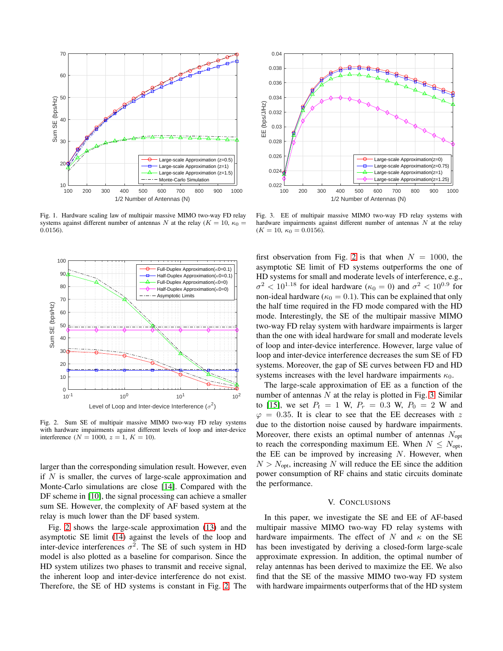

<span id="page-4-0"></span>Fig. 1. Hardware scaling law of multipair massive MIMO two-way FD relay systems against different number of antennas N at the relay ( $K = 10$ ,  $\kappa_0 =$ 0.0156).



<span id="page-4-1"></span>Fig. 2. Sum SE of multipair massive MIMO two-way FD relay systems with hardware impairments against different levels of loop and inter-device interference ( $N = 1000$ ,  $z = 1$ ,  $K = 10$ ).

larger than the corresponding simulation result. However, even if  $N$  is smaller, the curves of large-scale approximation and Monte-Carlo simulations are close [\[14\]](#page-5-13). Compared with the DF scheme in [\[10\]](#page-5-7), the signal processing can achieve a smaller sum SE. However, the complexity of AF based system at the relay is much lower than the DF based system.

Fig. [2](#page-4-1) shows the large-scale approximation [\(13\)](#page-2-4) and the asymptotic SE limit [\(14\)](#page-3-1) against the levels of the loop and inter-device interferences  $\sigma^2$ . The SE of such system in HD model is also plotted as a baseline for comparison. Since the HD system utilizes two phases to transmit and receive signal, the inherent loop and inter-device interference do not exist. Therefore, the SE of HD systems is constant in Fig. [2.](#page-4-1) The



<span id="page-4-2"></span>Fig. 3. EE of multipair massive MIMO two-way FD relay systems with hardware impairments against different number of antennas  $N$  at the relay  $(K = 10, \kappa_0 = 0.0156).$ 

first observation from Fig. [2](#page-4-1) is that when  $N = 1000$ , the asymptotic SE limit of FD systems outperforms the one of HD systems for small and moderate levels of interference, e.g.,  $\sigma^2$  < 10<sup>1.18</sup> for ideal hardware ( $\kappa_0 = 0$ ) and  $\sigma^2$  < 10<sup>0.9</sup> for non-ideal hardware ( $\kappa_0 = 0.1$ ). This can be explained that only the half time required in the FD mode compared with the HD mode. Interestingly, the SE of the multipair massive MIMO two-way FD relay system with hardware impairments is larger than the one with ideal hardware for small and moderate levels of loop and inter-device interference. However, large value of loop and inter-device interference decreases the sum SE of FD systems. Moreover, the gap of SE curves between FD and HD systems increases with the level hardware impairments  $\kappa_0$ .

The large-scale approximation of EE as a function of the number of antennas  $N$  at the relay is plotted in Fig. [3.](#page-4-2) Similar to [\[15\]](#page-5-14), we set  $P_t = 1$  W,  $P_r = 0.3$  W,  $P_0 = 2$  W and  $\varphi = 0.35$ . It is clear to see that the EE decreases with z due to the distortion noise caused by hardware impairments. Moreover, there exists an optimal number of antennas  $N_{\text{opt}}$ to reach the corresponding maximum EE. When  $N \leq N_{\text{opt}}$ , the EE can be improved by increasing  $N$ . However, when  $N > N_{\text{opt}}$ , increasing N will reduce the EE since the addition power consumption of RF chains and static circuits dominate the performance.

## V. CONCLUSIONS

In this paper, we investigate the SE and EE of AF-based multipair massive MIMO two-way FD relay systems with hardware impairments. The effect of N and  $\kappa$  on the SE has been investigated by deriving a closed-form large-scale approximate expression. In addition, the optimal number of relay antennas has been derived to maximize the EE. We also find that the SE of the massive MIMO two-way FD system with hardware impairments outperforms that of the HD system